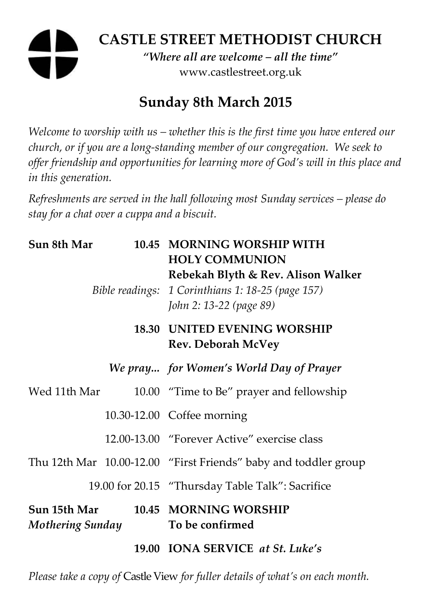## **CASTLE STREET METHODIST CHURCH**  *"Where all are welcome – all the time"*

www.castlestreet.org.uk

# **Sunday 8th March 2015**

*Welcome to worship with us – whether this is the first time you have entered our church, or if you are a long-standing member of our congregation. We seek to offer friendship and opportunities for learning more of God's will in this place and in this generation.* 

*Refreshments are served in the hall following most Sunday services – please do stay for a chat over a cuppa and a biscuit.* 

| Sun 8th Mar                             |  | 10.45 MORNING WORSHIP WITH<br><b>HOLY COMMUNION</b><br>Rebekah Blyth & Rev. Alison Walker<br>Bible readings: 1 Corinthians 1: 18-25 (page 157)<br>John 2: 13-22 (page 89) |
|-----------------------------------------|--|---------------------------------------------------------------------------------------------------------------------------------------------------------------------------|
|                                         |  | <b>18.30 UNITED EVENING WORSHIP</b><br><b>Rev. Deborah McVey</b>                                                                                                          |
|                                         |  | We pray for Women's World Day of Prayer                                                                                                                                   |
| Wed 11th Mar                            |  | 10.00 "Time to Be" prayer and fellowship                                                                                                                                  |
|                                         |  | 10.30-12.00 Coffee morning                                                                                                                                                |
|                                         |  | 12.00-13.00 "Forever Active" exercise class                                                                                                                               |
|                                         |  | Thu 12th Mar 10.00-12.00 "First Friends" baby and toddler group                                                                                                           |
|                                         |  | 19.00 for 20.15 "Thursday Table Talk": Sacrifice                                                                                                                          |
| Sun 15th Mar<br><b>Mothering Sunday</b> |  | 10.45 MORNING WORSHIP<br>To be confirmed                                                                                                                                  |
|                                         |  | 19.00 IONA SERVICE at St. Luke's                                                                                                                                          |

*Please take a copy of* Castle View *for fuller details of what's on each month.*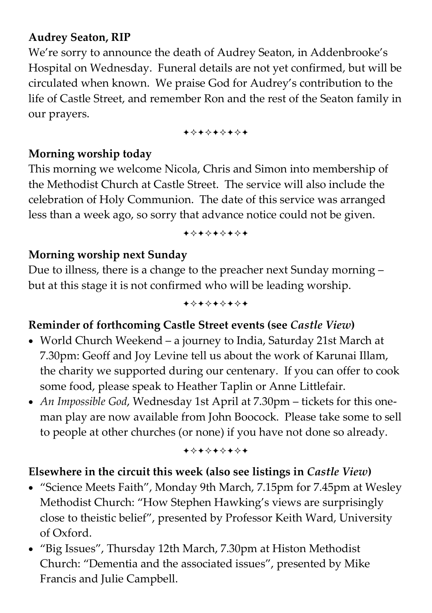### **Audrey Seaton, RIP**

We're sorry to announce the death of Audrey Seaton, in Addenbrooke's Hospital on Wednesday. Funeral details are not yet confirmed, but will be circulated when known. We praise God for Audrey's contribution to the life of Castle Street, and remember Ron and the rest of the Seaton family in our prayers.

+\*\*\*\*\*\*\*

### **Morning worship today**

This morning we welcome Nicola, Chris and Simon into membership of the Methodist Church at Castle Street. The service will also include the celebration of Holy Communion. The date of this service was arranged less than a week ago, so sorry that advance notice could not be given.

#### +\*\*\*\*\*\*\*

### **Morning worship next Sunday**

Due to illness, there is a change to the preacher next Sunday morning – but at this stage it is not confirmed who will be leading worship.

#### +\*\*\*\*\*\*\*

### **Reminder of forthcoming Castle Street events (see** *Castle View***)**

- World Church Weekend a journey to India, Saturday 21st March at 7.30pm: Geoff and Joy Levine tell us about the work of Karunai Illam, the charity we supported during our centenary. If you can offer to cook some food, please speak to Heather Taplin or Anne Littlefair.
- *An Impossible God*, Wednesday 1st April at 7.30pm tickets for this oneman play are now available from John Boocock. Please take some to sell to people at other churches (or none) if you have not done so already.

+\*+\*\*\*\*\*

### **Elsewhere in the circuit this week (also see listings in** *Castle View***)**

- "Science Meets Faith", Monday 9th March, 7.15pm for 7.45pm at Wesley Methodist Church: "How Stephen Hawking's views are surprisingly close to theistic belief", presented by Professor Keith Ward, University of Oxford.
- "Big Issues", Thursday 12th March, 7.30pm at Histon Methodist Church: "Dementia and the associated issues", presented by Mike Francis and Julie Campbell.